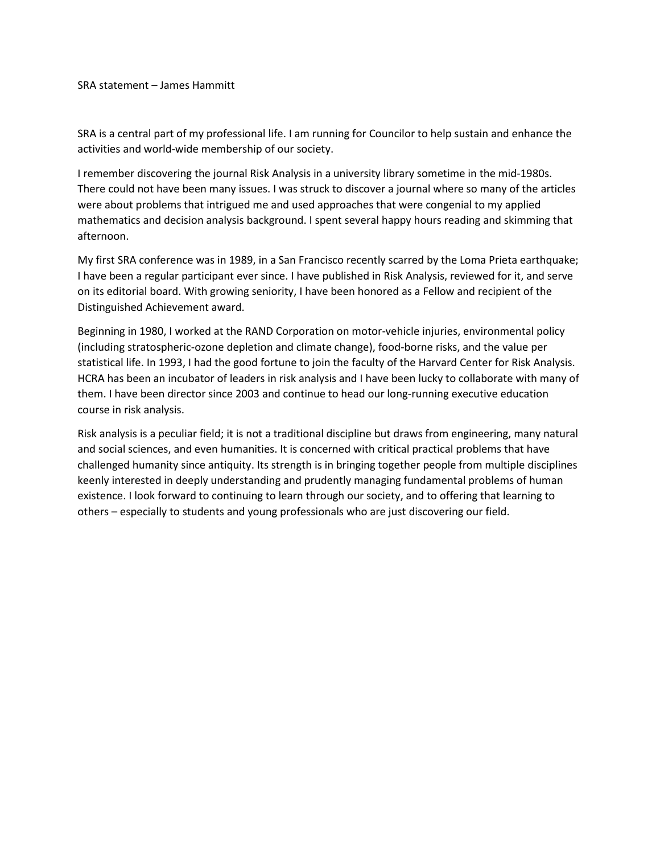SRA statement – James Hammitt

SRA is a central part of my professional life. I am running for Councilor to help sustain and enhance the activities and world-wide membership of our society.

I remember discovering the journal Risk Analysis in a university library sometime in the mid-1980s. There could not have been many issues. I was struck to discover a journal where so many of the articles were about problems that intrigued me and used approaches that were congenial to my applied mathematics and decision analysis background. I spent several happy hours reading and skimming that afternoon.

My first SRA conference was in 1989, in a San Francisco recently scarred by the Loma Prieta earthquake; I have been a regular participant ever since. I have published in Risk Analysis, reviewed for it, and serve on its editorial board. With growing seniority, I have been honored as a Fellow and recipient of the Distinguished Achievement award.

Beginning in 1980, I worked at the RAND Corporation on motor-vehicle injuries, environmental policy (including stratospheric-ozone depletion and climate change), food-borne risks, and the value per statistical life. In 1993, I had the good fortune to join the faculty of the Harvard Center for Risk Analysis. HCRA has been an incubator of leaders in risk analysis and I have been lucky to collaborate with many of them. I have been director since 2003 and continue to head our long-running executive education course in risk analysis.

Risk analysis is a peculiar field; it is not a traditional discipline but draws from engineering, many natural and social sciences, and even humanities. It is concerned with critical practical problems that have challenged humanity since antiquity. Its strength is in bringing together people from multiple disciplines keenly interested in deeply understanding and prudently managing fundamental problems of human existence. I look forward to continuing to learn through our society, and to offering that learning to others – especially to students and young professionals who are just discovering our field.